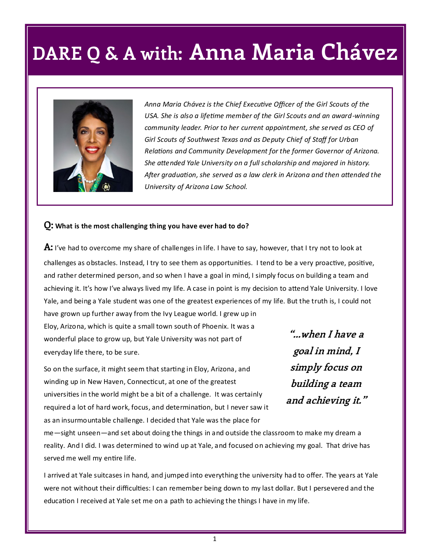## **DARE Q & A with: Anna Maria Chávez**



*Anna Maria Chávez is the Chief Executive Officer of the Girl Scouts of the USA. She is also a lifetime member of the Girl Scouts and an award-winning community leader. Prior to her current appointment, she served as CEO of Girl Scouts of Southwest Texas and as Deputy Chief of Staff for Urban Relations and Community Development for the former Governor of Arizona. She attended Yale University on a full scholarship and majored in history. After graduation, she served as a law clerk in Arizona and then attended the University of Arizona Law School.* 

#### **Q: What is the most challenging thing you have ever had to do?**

**A:** I've had to overcome my share of challenges in life. I have to say, however, that I try not to look at challenges as obstacles. Instead, I try to see them as opportunities. I tend to be a very proactive, positive, and rather determined person, and so when I have a goal in mind, I simply focus on building a team and achieving it. It's how I've always lived my life. A case in point is my decision to attend Yale University. I love Yale, and being a Yale student was one of the greatest experiences of my life. But the truth is, I could not have grown up further away from the Ivy League world. I grew up in

Eloy, Arizona, which is quite a small town south of Phoenix. It was a wonderful place to grow up, but Yale University was not part of everyday life there, to be sure.

So on the surface, it might seem that starting in Eloy, Arizona, and winding up in New Haven, Connecticut, at one of the greatest universities in the world might be a bit of a challenge. It was certainly required a lot of hard work, focus, and determination, but I never saw it as an insurmountable challenge. I decided that Yale was the place for

**"...when I have a goal in mind, I simply focus on building a team and achieving it."**

me—sight unseen—and set about doing the things in and outside the classroom to make my dream a reality. And I did. I was determined to wind up at Yale, and focused on achieving my goal. That drive has served me well my entire life.

I arrived at Yale suitcases in hand, and jumped into everything the university had to offer. The years at Yale were not without their difficulties: I can remember being down to my last dollar. But I persevered and the education I received at Yale set me on a path to achieving the things I have in my life.

1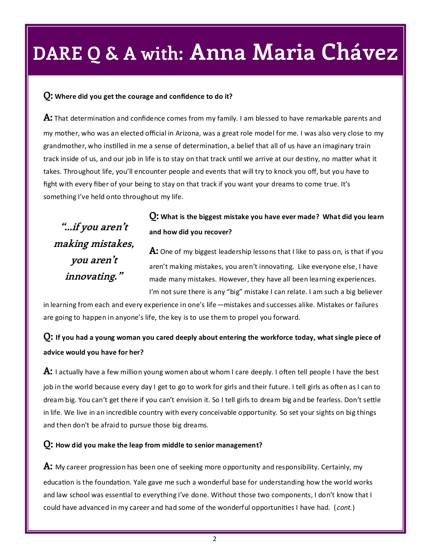## **DARE Q & A with: Anna Maria Chávez**

### **Q: Where did you get the courage and confidence to do it?**

**A:** That determination and confidence comes from my family. I am blessed to have remarkable parents and my mother, who was an elected official in Arizona, was a great role model for me. I was also very close to my grandmother, who instilled in me a sense of determination, a belief that all of us have an imaginary train track inside of us, and our job in life is to stay on that track until we arrive at our destiny, no matter what it takes. Throughout life, you'll encounter people and events that will try to knock you off, but you have to fight with every fiber of your being to stay on that track if you want your dreams to come true. It's something I've held onto throughout my life.

**"...if you aren't making mistakes, you aren't innovating."**

## **Q: What is the biggest mistake you have ever made? What did you learn and how did you recover?**

**A:** One of my biggest leadership lessons that I like to pass on, is that if you aren't making mistakes, you aren't innovating. Like everyone else, I have made many mistakes. However, they have all been learning experiences. I'm not sure there is any "big" mistake I can relate. I am such a big believer

in learning from each and every experience in one's life—mistakes and successes alike. Mistakes or failures are going to happen in anyone's life, the key is to use them to propel you forward.

## **Q: If you had a young woman you cared deeply about entering the workforce today, what single piece of advice would you have for her?**

**A:** I actually have a few million young women about whom I care deeply. I often tell people I have the best job in the world because every day I get to go to work for girls and their future. I tell girls as often as I can to dream big. You can't get there if you can't envision it. So I tell girls to dream big and be fearless. Don't settle in life. We live in an incredible country with every conceivable opportunity. So set your sights on big things and then don't be afraid to pursue those big dreams.

#### **Q: How did you make the leap from middle to senior management?**

**A:** My career progression has been one of seeking more opportunity and responsibility. Certainly, my education is the foundation. Yale gave me such a wonderful base for understanding how the world works and law school was essential to everything I've done. Without those two components, I don't know that I could have advanced in my career and had some of the wonderful opportunities I have had. ( *cont.*)